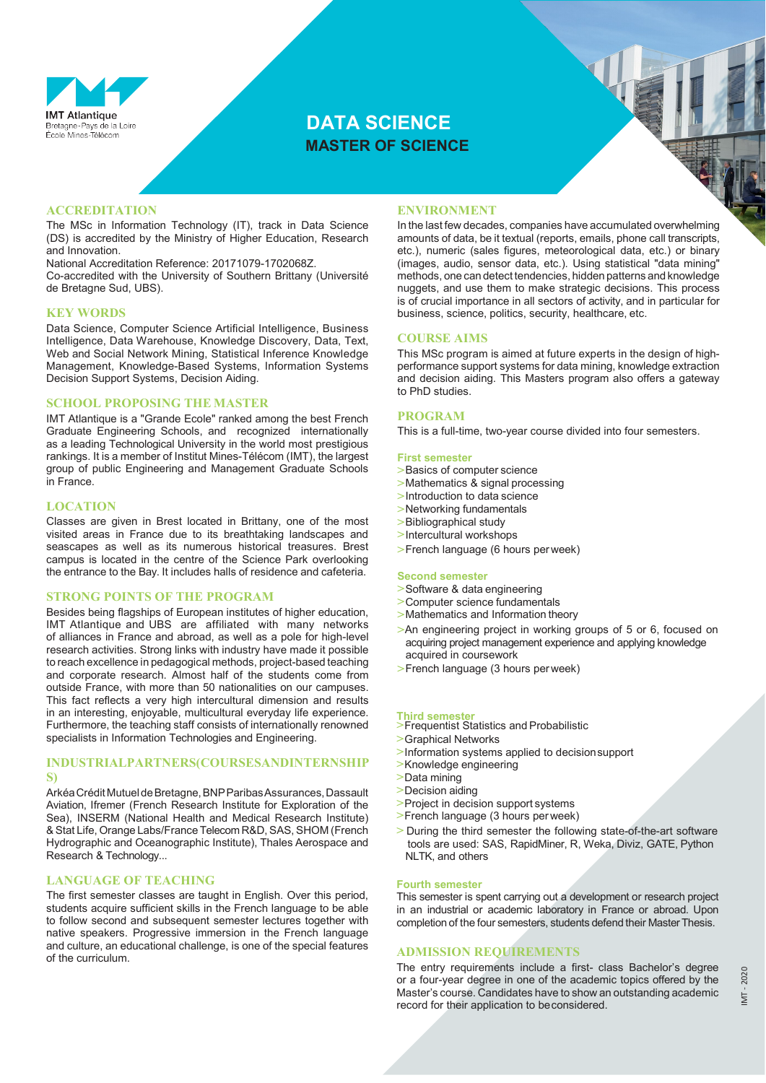

# **DATA SCIENCE MASTER OF SCIENCE**

## **ACCREDITATION**

The MSc in Information Technology (IT), track in Data Science (DS) is accredited by the Ministry of Higher Education, Research and Innovation.

National Accreditation Reference: 20171079-1702068Z.

Co-accredited with the University of Southern Brittany (Université de Bretagne Sud, UBS).

#### **KEY WORDS**

Data Science, Computer Science Artificial Intelligence, Business Intelligence, Data Warehouse, Knowledge Discovery, Data, Text, Web and Social Network Mining, Statistical Inference Knowledge Management, Knowledge-Based Systems, Information Systems Decision Support Systems, Decision Aiding.

#### **SCHOOL PROPOSING THE MASTER**

IMT Atlantique is a "Grande Ecole" ranked among the best French Graduate Engineering Schools, and recognized internationally as a leading Technological University in the world most prestigious rankings. It is a member of Institut Mines-Télécom (IMT), the largest group of public Engineering and Management Graduate Schools in France.

#### **LOCATION**

Classes are given in Brest located in Brittany, one of the most visited areas in France due to its breathtaking landscapes and seascapes as well as its numerous historical treasures. Brest campus is located in the centre of the Science Park overlooking the entrance to the Bay. It includes halls of residence and cafeteria.

### **STRONG POINTS OF THE PROGRAM**

Besides being flagships of European institutes of higher education, IMT Atlantique and UBS are affiliated with many networks of alliances in France and abroad, as well as a pole for high-level research activities. Strong links with industry have made it possible to reach excellence in pedagogical methods, project-based teaching and corporate research. Almost half of the students come from outside France, with more than 50 nationalities on our campuses. This fact reflects a very high intercultural dimension and results in an interesting, enjoyable, multicultural everyday life experience. Furthermore, the teaching staff consists of internationally renowned specialists in Information Technologies and Engineering.

## **INDUSTRIALPARTNERS(COURSESANDINTERNSHIP S)**

ArkéaCréditMutueldeBretagne,BNPParibasAssurances,Dassault Aviation, Ifremer (French Research Institute for Exploration of the Sea), INSERM (National Health and Medical Research Institute) &Stat Life, Orange Labs/FranceTelecom R&D, SAS, SHOM (French Hydrographic and Oceanographic Institute), Thales Aerospace and Research & Technology...

## **LANGUAGE OF TEACHING**

The first semester classes are taught in English. Over this period, students acquire sufficient skills in the French language to be able to follow second and subsequent semester lectures together with native speakers. Progressive immersion in the French language and culture, an educational challenge, is one of the special features of the curriculum.

### **ENVIRONMENT**

In the last few decades, companies have accumulated overwhelming amounts of data, be it textual (reports, emails, phone call transcripts, etc.), numeric (sales figures, meteorological data, etc.) or binary (images, audio, sensor data, etc.). Using statistical "data mining" methods, one can detect tendencies, hidden patterns and knowledge nuggets, and use them to make strategic decisions. This process is of crucial importance in all sectors of activity, and in particular for business, science, politics, security, healthcare, etc.

#### **COURSE AIMS**

This MSc program is aimed at future experts in the design of highperformance support systems for data mining, knowledge extraction and decision aiding. This Masters program also offers a gateway to PhD studies.

## **PROGRAM**

This is a full-time, two-year course divided into four semesters.

#### **First semester**

- **>**Basics of computer science
- **>**Mathematics & signal processing
- **>**Introduction to data science
- **>**Networking fundamentals
- **>**Bibliographical study
- **>**Intercultural workshops
- **>**French language (6 hours per week)

#### **Second semester**

- **>**Software & data engineering
- **>**Computer science fundamentals
- **>**Mathematics and Information theory
- **>**An engineering project in working groups of 5 or 6, focused on acquiring project management experience and applying knowledge acquired in coursework
- **>**French language (3 hours per week)

#### **Third semester**

- **>**Frequentist Statistics and Probabilistic
- **>**Graphical Networks
- **>**Information systems applied to decisionsupport
- **>**Knowledge engineering
- **>**Data mining
- **>**Decision aiding
- **>**Project in decision support systems
- **>**French language (3 hours per week)
- **>** During the third semester the following state-of-the-art software tools are used: SAS, RapidMiner, R, Weka, Diviz, GATE, Python NLTK, and others

#### **Fourth semester**

This semester is spent carrying out a development or research project in an industrial or academic laboratory in France or abroad. Upon completion of the four semesters, students defend their MasterThesis.

## **ADMISSION REQUIREMENTS**

The entry requirements include a first- class Bachelor's degree or a four-year degree in one of the academic topics offered by the Master's course. Candidates have to show an outstanding academic record for their application to beconsidered.